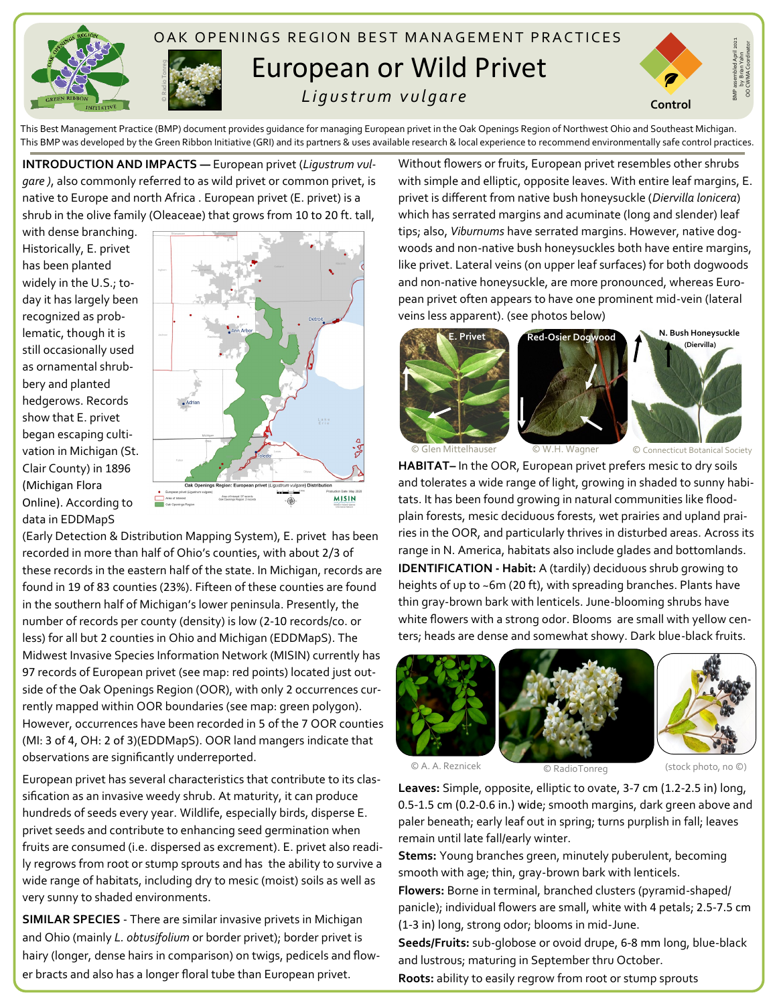



## OAK OPENINGS REGION BEST MANAGEMENT PRACTICES European or Wild Privet  *L i g u s t r u m v u l g a r e*



BMP assembled April 2021 by Brian Yahn OO CWMA Coordinator

This Best Management Practice (BMP) document provides guidance for managing European privet in the Oak Openings Region of Northwest Ohio and Southeast Michigan. This BMP was developed by the Green Ribbon Initiative (GRI) and its partners & uses available research & local experience to recommend environmentally safe control practices.

**INTRODUCTION AND IMPACTS —** European privet (*Ligustrum vulgare )*, also commonly referred to as wild privet or common privet, is native to Europe and north Africa . European privet (E. privet) is a shrub in the olive family (Oleaceae) that grows from 10 to 20 ft. tall,

with dense branching. Historically, E. privet has been planted widely in the U.S.; today it has largely been recognized as problematic, though it is still occasionally used as ornamental shrubbery and planted hedgerows. Records show that E. privet began escaping cultivation in Michigan (St. Clair County) in 1896 (Michigan Flora Online). According to data in EDDMapS



(Early Detection & Distribution Mapping System), E. privet has been recorded in more than half of Ohio's counties, with about 2/3 of these records in the eastern half of the state. In Michigan, records are found in 19 of 83 counties (23%). Fifteen of these counties are found in the southern half of Michigan's lower peninsula. Presently, the number of records per county (density) is low (2-10 records/co. or less) for all but 2 counties in Ohio and Michigan (EDDMapS). The Midwest Invasive Species Information Network (MISIN) currently has 97 records of European privet (see map: red points) located just outside of the Oak Openings Region (OOR), with only 2 occurrences currently mapped within OOR boundaries (see map: green polygon). However, occurrences have been recorded in 5 of the 7 OOR counties (MI: 3 of 4, OH: 2 of 3)(EDDMapS). OOR land mangers indicate that observations are significantly underreported.

European privet has several characteristics that contribute to its classification as an invasive weedy shrub. At maturity, it can produce hundreds of seeds every year. Wildlife, especially birds, disperse E. privet seeds and contribute to enhancing seed germination when fruits are consumed (i.e. dispersed as excrement). E. privet also readily regrows from root or stump sprouts and has the ability to survive a wide range of habitats, including dry to mesic (moist) soils as well as very sunny to shaded environments.

**SIMILAR SPECIES** - There are similar invasive privets in Michigan and Ohio (mainly *L. obtusifolium* or border privet); border privet is hairy (longer, dense hairs in comparison) on twigs, pedicels and flower bracts and also has a longer floral tube than European privet.

Without flowers or fruits, European privet resembles other shrubs with simple and elliptic, opposite leaves. With entire leaf margins, E. privet is different from native bush honeysuckle (*Diervilla lonicera*) which has serrated margins and acuminate (long and slender) leaf tips; also, *Viburnums* have serrated margins. However, native dogwoods and non-native bush honeysuckles both have entire margins, like privet. Lateral veins (on upper leaf surfaces) for both dogwoods and non-native honeysuckle, are more pronounced, whereas European privet often appears to have one prominent mid-vein (lateral veins less apparent). (see photos below)



**HABITAT–** In the OOR, European privet prefers mesic to dry soils and tolerates a wide range of light, growing in shaded to sunny habitats. It has been found growing in natural communities like floodplain forests, mesic deciduous forests, wet prairies and upland prairies in the OOR, and particularly thrives in disturbed areas. Across its range in N. America, habitats also include glades and bottomlands. **IDENTIFICATION - Habit:** A (tardily) deciduous shrub growing to heights of up to ~6m (20 ft), with spreading branches. Plants have thin gray-brown bark with lenticels. June-blooming shrubs have white flowers with a strong odor. Blooms are small with yellow centers; heads are dense and somewhat showy. Dark blue-black fruits.







**Leaves:** Simple, opposite, elliptic to ovate, 3-7 cm (1.2-2.5 in) long, 0.5-1.5 cm (0.2-0.6 in.) wide; smooth margins, dark green above and paler beneath; early leaf out in spring; turns purplish in fall; leaves remain until late fall/early winter.

**Stems:** Young branches green, minutely puberulent, becoming smooth with age; thin, gray-brown bark with lenticels.

**Flowers:** Borne in terminal, branched clusters (pyramid-shaped/ panicle); individual flowers are small, white with 4 petals; 2.5-7.5 cm (1-3 in) long, strong odor; blooms in mid-June.

**Seeds/Fruits:** sub-globose or ovoid drupe, 6-8 mm long, blue-black and lustrous; maturing in September thru October.

**Roots:** ability to easily regrow from root or stump sprouts